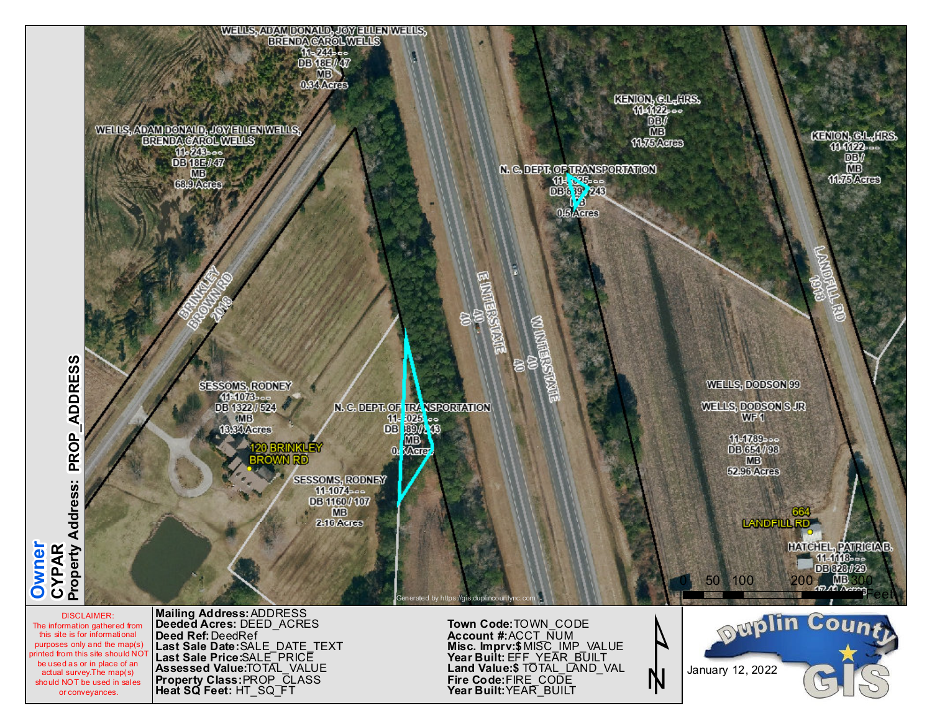

The information gathered from this site is for informational purposes only and the map(s) printed from this site should NOT be used as or in place of an actual survey.The map(s) should NOT be used in sales or conveyances.

**Owner**

**Deeded Acres: Deed Ref: DeedRef**  $\blacksquare$  **Last Sale Date:** SALE\_DATE\_TEXT Last Sale Price:SALE\_PRICE **As s e s s e d Va l u e :** TO TA L \_ VA L U E PROP\_CLASS  $\blacksquare$  **Heat SQ Feet:** <code>HT\_SQ\_FT</code> DEED\_ACRES **P r o p e r ty C l a s s :**

 $\texttt{Account H:ACCT NUMBER}$ **Year Built: YEAR\_BUILT F i r e C o d e :** F I R E \_ C O D E Land Value:\$ TOTAL\_LAND\_VAL <code>Year</code> <code>Built: <code>EFF\_YEAR\_BUILT</code></code> **Misc. Imprv:\$**MISC\_IMP\_VALUE  $\bf{Down\_CODE}$ 

N

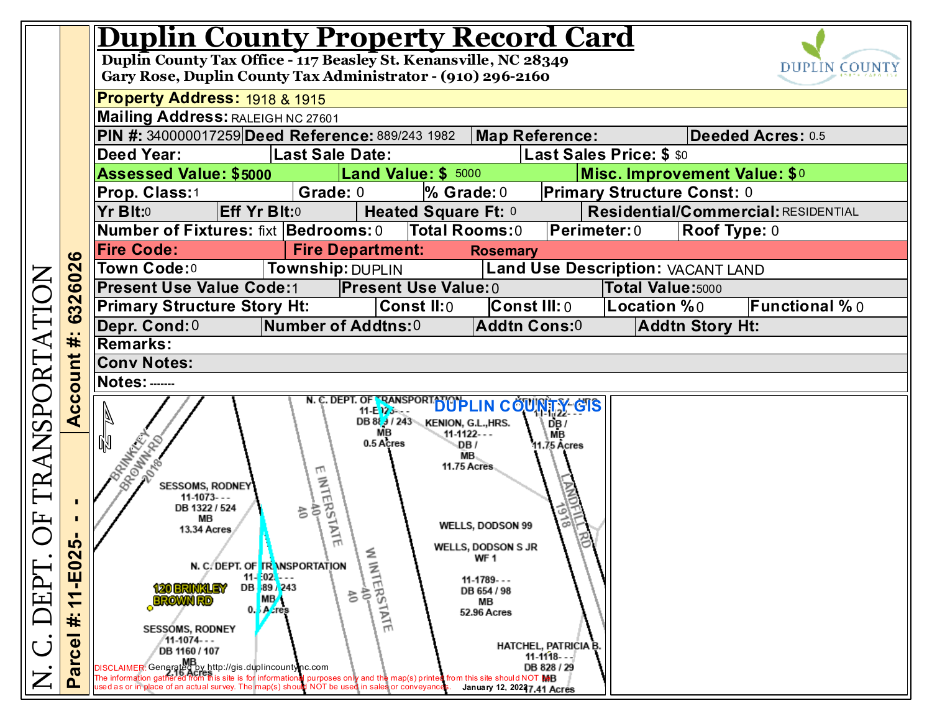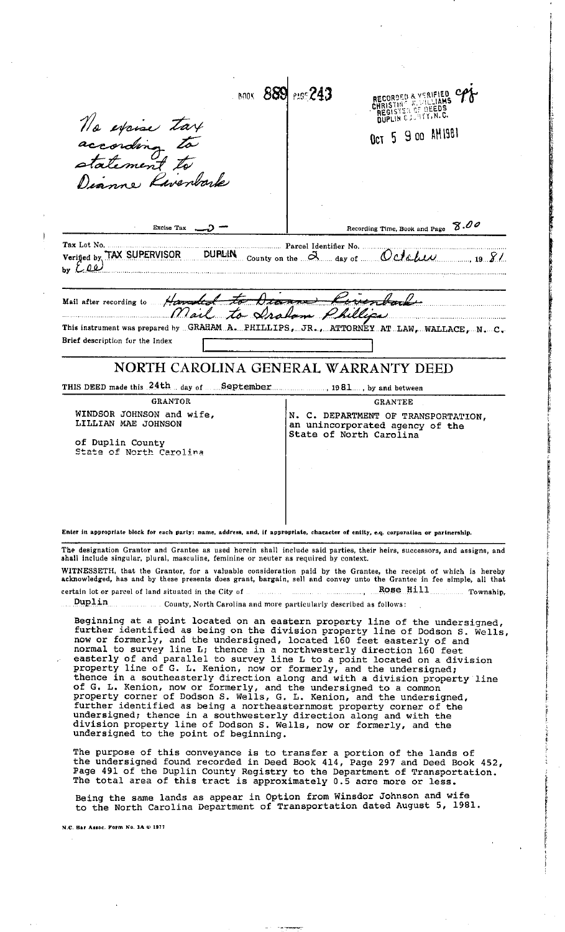**BOOK 889 PASS 243** RECORDED & VERIFIED<br>CHRISTINE & SILLIAMS<br>REGISTER OF DEEDS<br>DUPLIN CJS HTY, N.C. No excise tax Oct 5 9 00 AM1981 according to no Paventorle Recording Time, Book and Page 8.00 Excise Tax 5 ....... Parcel Identifier No. Tax Lot No. Verified by TAX SUPERVISOR **DURLIN** County on the  $\alpha$  day of October 19 81 Hamded to Mail after recording to Mail to Draham Phillips This instrument was prepared by ... GRAHAM. A. ... PHILLIPS, ... JR., ... ATTORNEY... AT. LAW, ... WALLACE, ... N., ... C. Brief description for the Index NORTH CAROLINA GENERAL WARRANTY DEED THIS DEED made this 24th day of September 1981 ... , by and between **GRANTOR GRANTEE** WINDSOR JOHNSON and wife, N. C. DEPARTMENT OF TRANSPORTATION, LILLIAN MAE JOHNSON an unincorporated agency of the State of North Carolina of Duplin County<br>State of North Carolina Enter in appropriate block for each party: name, address, and, if appropriate, character of entity, e.q. corporation or partnership. The designation Grantor and Grantee as used herein shall include said parties, their heirs, successors, and assigns, and shall include singular, plural, masculine, feminine or neuter as required by context. WITNESSETH, that the Grantor, for a valuable consideration paid by the Grantee, the receipt of which is hereby<br>acknowledged, has and by these presents does grant, bargain, sell and convey unto the Grantee in fee simple, al Rose Hill Township, certain lot or parcel of land situated in the City of Duplin County, North Carolina and more particularly described as follows: Beginning at a point located on an eastern property line of the undersigned, further identified as being on the division property line of Dodson S. Wells, rurther laentified as being on the division property line of Dodson S. Wells<br>now or formerly, and the undersigned, located 160 feet easterly of and<br>normal to survey line L; thence in a northwesterly direction 160 feet<br>east undersigned; thence in a southwesterly direction along and with the<br>division property line of Dodson S. Wells, now or formerly, and the undersigned to the point of beginning. The purpose of this conveyance is to transfer a portion of the lands of the undersigned found recorded in Deed Book 414, Page 297 and Deed Book 452, Page 491 of the Duplin County Registry to the Department of Transportation.<br>The total area of this tract is approximately 0.5 acre more or less. Being the same lands as appear in Option from Winsdor Johnson and wife<br>to the North Carolina Department of Transportation dated August 5, 1981. N.C. Bar Assoc. Form No. 3A @ 1977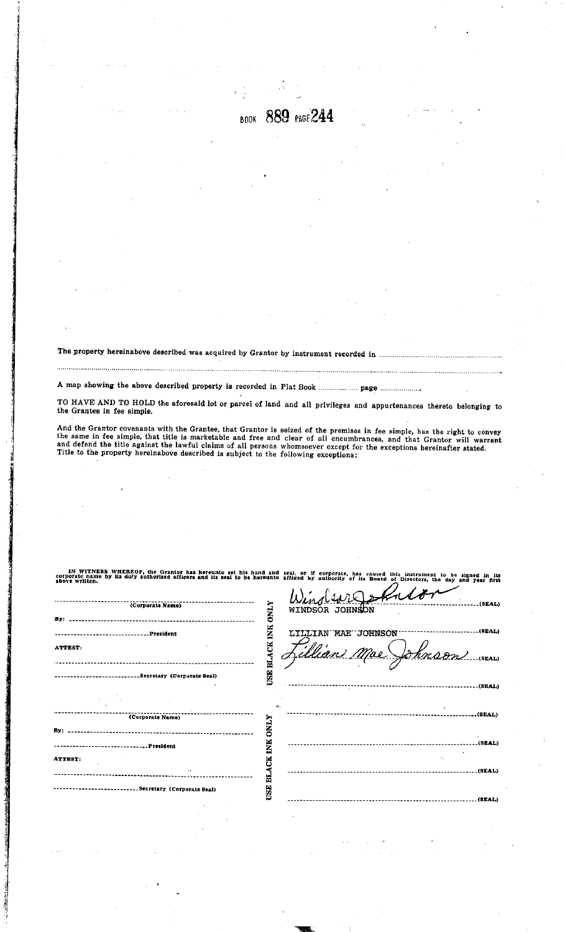**BOOK 889 PAGE 244** 

The property hereinabove described was acquired by Grantor by instrument recorded in

TO HAVE AND TO HOLD the aforesaid lot or parcel of land and all privileges and appurtenances thereto belonging to the Grantee in fee simple.

And the Grantor covenants with the Grantee, that Grantor is seized of the premises in fee simple, has the right to convey the same in fee simple, that title is marketable and free and clear of all encumbrances, and that Gr

IN WITNESS WHEREO<br>corporate name by its duly<br>above written. to set his hand and seal, or if corporate, has caused thi<br>seal to be hereunto affixed by authority of its Board of ator<br>Affic to be signed in its<br>day and year first s instrument (<br>Directors, the

 $\mathbf{A}$ 

| (Corporate Name)                     | <b>ONLY</b>             | Wind wild fullor<br>(. (BLAL)<br>WINDSOR JOHNSON                   |
|--------------------------------------|-------------------------|--------------------------------------------------------------------|
| ATTEST:                              | USE BLACK INK           | (8EAL)<br>LILLIAN MAE JOHNSON<br>illian Moe<br>Shnson<br>$-(SEAL)$ |
|                                      |                         | ---------------------(SEAL)                                        |
| (Corporate Name)<br>By: _            | et a<br><b>NLYO</b>     |                                                                    |
| ATTEST:                              | INK<br>ă                | (SEAL)                                                             |
| ARC ST<br>Secretary (Corporate Seal) | BLA<br>USE <sup>:</sup> | -----------------------------(SEAL)                                |
|                                      |                         |                                                                    |